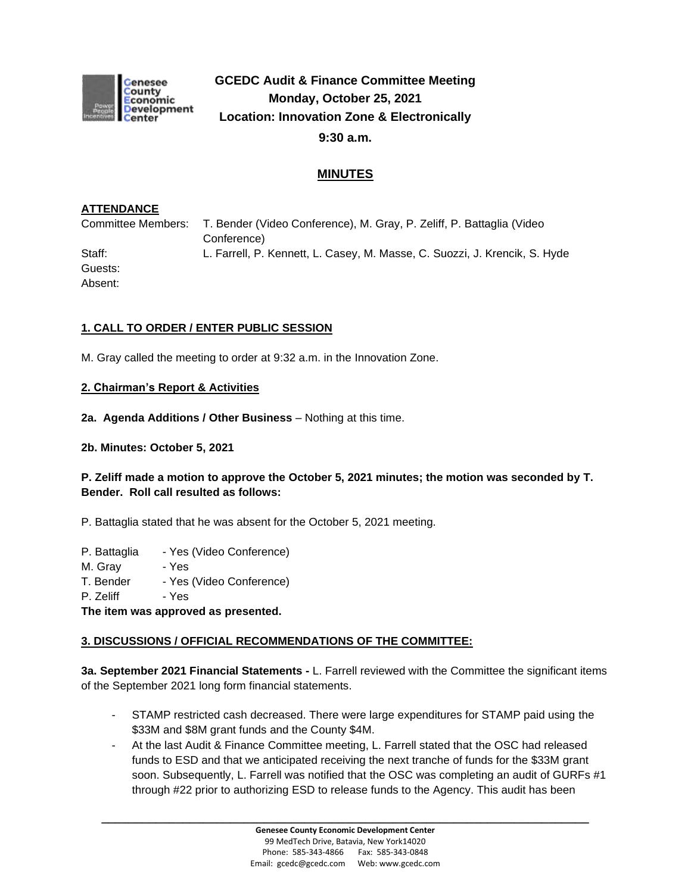

# **GCEDC Audit & Finance Committee Meeting Monday, October 25, 2021 Location: Innovation Zone & Electronically 9:30 a.m.**

# **MINUTES**

## **ATTENDANCE**

Committee Members: T. Bender (Video Conference), M. Gray, P. Zeliff, P. Battaglia (Video Conference) Staff: L. Farrell, P. Kennett, L. Casey, M. Masse, C. Suozzi, J. Krencik, S. Hyde Guests: Absent:

## **1. CALL TO ORDER / ENTER PUBLIC SESSION**

M. Gray called the meeting to order at 9:32 a.m. in the Innovation Zone.

#### **2. Chairman's Report & Activities**

**2a. Agenda Additions / Other Business** – Nothing at this time.

**2b. Minutes: October 5, 2021** 

## **P. Zeliff made a motion to approve the October 5, 2021 minutes; the motion was seconded by T. Bender. Roll call resulted as follows:**

P. Battaglia stated that he was absent for the October 5, 2021 meeting.

- P. Battaglia Yes (Video Conference)
- M. Gray Yes
- T. Bender Yes (Video Conference)
- P. Zeliff Yes

**The item was approved as presented.**

#### **3. DISCUSSIONS / OFFICIAL RECOMMENDATIONS OF THE COMMITTEE:**

**3a. September 2021 Financial Statements -** L. Farrell reviewed with the Committee the significant items of the September 2021 long form financial statements.

- STAMP restricted cash decreased. There were large expenditures for STAMP paid using the \$33M and \$8M grant funds and the County \$4M.
- At the last Audit & Finance Committee meeting, L. Farrell stated that the OSC had released funds to ESD and that we anticipated receiving the next tranche of funds for the \$33M grant soon. Subsequently, L. Farrell was notified that the OSC was completing an audit of GURFs #1 through #22 prior to authorizing ESD to release funds to the Agency. This audit has been

**\_\_\_\_\_\_\_\_\_\_\_\_\_\_\_\_\_\_\_\_\_\_\_\_\_\_\_\_\_\_\_\_\_\_\_\_\_\_\_\_\_\_\_\_\_\_\_\_\_\_\_\_\_\_\_\_\_\_\_\_\_\_\_\_\_\_\_\_\_\_\_\_**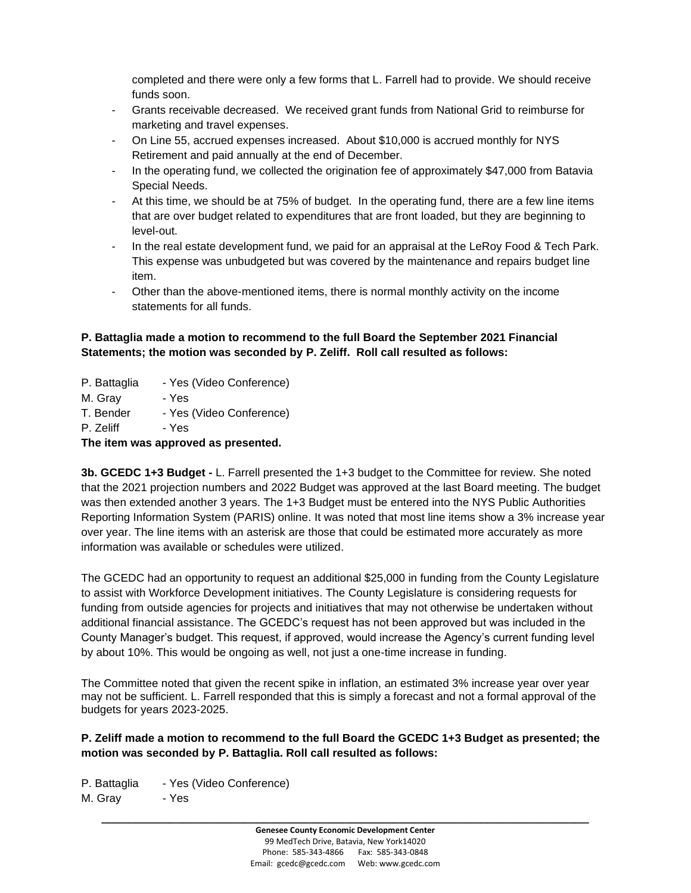completed and there were only a few forms that L. Farrell had to provide. We should receive funds soon.

- Grants receivable decreased. We received grant funds from National Grid to reimburse for marketing and travel expenses.
- On Line 55, accrued expenses increased. About \$10,000 is accrued monthly for NYS Retirement and paid annually at the end of December.
- In the operating fund, we collected the origination fee of approximately \$47,000 from Batavia Special Needs.
- At this time, we should be at 75% of budget. In the operating fund, there are a few line items that are over budget related to expenditures that are front loaded, but they are beginning to level-out.
- In the real estate development fund, we paid for an appraisal at the LeRoy Food & Tech Park. This expense was unbudgeted but was covered by the maintenance and repairs budget line item.
- Other than the above-mentioned items, there is normal monthly activity on the income statements for all funds.

## **P. Battaglia made a motion to recommend to the full Board the September 2021 Financial Statements; the motion was seconded by P. Zeliff. Roll call resulted as follows:**

- P. Battaglia Yes (Video Conference)
- M. Gray Yes
- T. Bender Yes (Video Conference)
- P. Zeliff Yes

**The item was approved as presented.**

**3b. GCEDC 1+3 Budget -** L. Farrell presented the 1+3 budget to the Committee for review. She noted that the 2021 projection numbers and 2022 Budget was approved at the last Board meeting. The budget was then extended another 3 years. The 1+3 Budget must be entered into the NYS Public Authorities Reporting Information System (PARIS) online. It was noted that most line items show a 3% increase year over year. The line items with an asterisk are those that could be estimated more accurately as more information was available or schedules were utilized.

The GCEDC had an opportunity to request an additional \$25,000 in funding from the County Legislature to assist with Workforce Development initiatives. The County Legislature is considering requests for funding from outside agencies for projects and initiatives that may not otherwise be undertaken without additional financial assistance. The GCEDC's request has not been approved but was included in the County Manager's budget. This request, if approved, would increase the Agency's current funding level by about 10%. This would be ongoing as well, not just a one-time increase in funding.

The Committee noted that given the recent spike in inflation, an estimated 3% increase year over year may not be sufficient. L. Farrell responded that this is simply a forecast and not a formal approval of the budgets for years 2023-2025.

## **P. Zeliff made a motion to recommend to the full Board the GCEDC 1+3 Budget as presented; the motion was seconded by P. Battaglia. Roll call resulted as follows:**

P. Battaglia - Yes (Video Conference)

M. Gray - Yes

**\_\_\_\_\_\_\_\_\_\_\_\_\_\_\_\_\_\_\_\_\_\_\_\_\_\_\_\_\_\_\_\_\_\_\_\_\_\_\_\_\_\_\_\_\_\_\_\_\_\_\_\_\_\_\_\_\_\_\_\_\_\_\_\_\_\_\_\_\_\_\_\_**